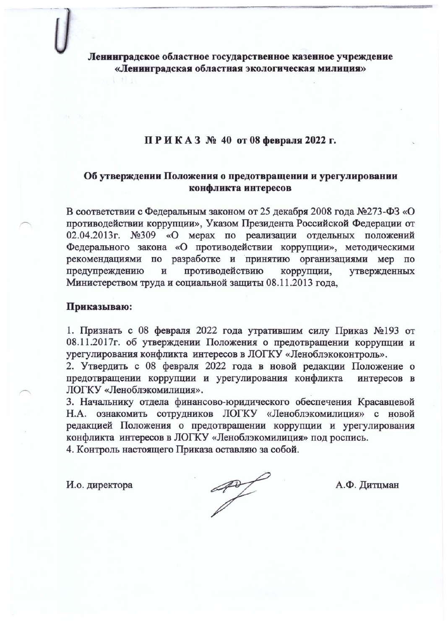Ленинградское областное государственное казенное учреждение «Ленинградская областная экологическая милиция»

## ПРИКАЗ № 40 от 08 февраля 2022 г.

# Об утверждении Положения о предотвращении и урегулировании конфликта интересов

В соответствии с Федеральным законом от 25 декабря 2008 года №273-ФЗ «О противодействии коррупции», Указом Президента Российской Федерации от 02.04.2013г. №309 «О мерах по реализации отдельных положений Федерального закона «О противодействии коррупции», методическими рекомендациями по разработке и принятию организациями мер по противодействию предупреждению коррупции, утвержденных  $\,$  M Министерством труда и социальной защиты 08.11.2013 года,

### Приказываю:

1. Признать с 08 февраля 2022 года утратившим силу Приказ №193 от 08.11.2017г. об утверждении Положения о предотвращении коррупции и урегулирования конфликта интересов в ЛОГКУ «Леноблэкоконтроль».

2. Утвердить с 08 февраля 2022 года в новой редакции Положение о предотвращении коррупции и урегулирования конфликта интересов в ЛОГКУ «Леноблэкомилиция».

3. Начальнику отдела финансово-юридического обеспечения Красавцевой Н.А. ознакомить сотрудников ЛОГКУ «Леноблэкомилиция» с новой редакцией Положения о предотвращении коррупции и урегулирования конфликта интересов в ЛОГКУ «Леноблэкомилиция» под роспись.

4. Контроль настоящего Приказа оставляю за собой.

И.о. директора

 $\mathscr{A}$ 

А.Ф. Дитцман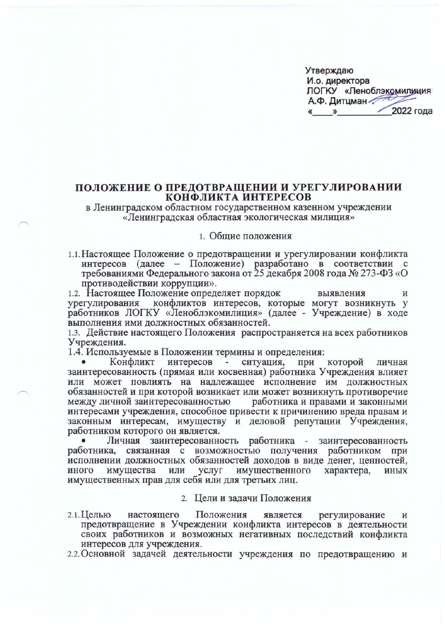| Утверждаю |   |                         |
|-----------|---|-------------------------|
|           |   | И.о. директора          |
|           |   | ЛОГКУ «Леноблэкомилиция |
|           |   | А.Ф. Дитцман            |
| «         | ≫ | 2022 года               |

#### ПОЛОЖЕНИЕ О ПРЕДОТВРАЩЕНИИ И УРЕГУЛИРОВАНИИ КОНФЛИКТА ИНТЕРЕСОВ

в Ленинградском областном государственном казенном учреждении «Ленинградская областная экологическая милиция»

#### 1. Общие положения

1.1. Настоящее Положение о предотвращении и урегулировании конфликта интересов (далее - Положение) разработано в соответствии с требованиями Федерального закона от 25 декабря 2008 года № 273-ФЗ «О противодействии коррупции».

1.2. Настоящее Положение определяет порядок выявления И конфликтов интересов, которые могут возникнуть у урегулирования работников ЛОГКУ «Леноблэкомилиция» (далее - Учреждение) в ходе выполнения ими должностных обязанностей.

1.3. Действие настоящего Положения распространяется на всех работников Учреждения.

1.4. Используемые в Положении термины и определения:

которой Конфликт интересов ситуация, при личная заинтересованность (прямая или косвенная) работника Учреждения влияет или может повлиять на надлежащее исполнение им должностных обязанностей и при которой возникает или может возникнуть противоречие между личной заинтересованностью работника и правами и законными интересами учреждения, способное привести к причинению вреда правам и законным интересам, имуществу и деловой репутации Учреждения, работником которого он является.

Личная заинтересованность работника - заинтересованность работника, связанная с возможностью получения работником при исполнении должностных обязанностей доходов в виде денег, ценностей, имущества или услуг имущественного иного характера, **ИНЫХ** имущественных прав для себя или для третьих лиц.

- 2. Цели и задачи Положения
- 2.1. Целью Положения настоящего является регулирование И предотвращение в Учреждении конфликта интересов в деятельности своих работников и возможных негативных последствий конфликта интересов для учреждения.
- 2.2. Основной задачей деятельности учреждения по предотвращению и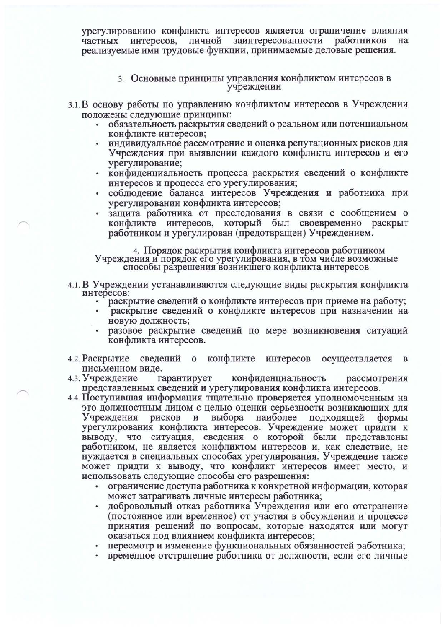урегулированию конфликта интересов является ограничение влияния личной заинтересованности работников частных интересов, реализуемые ими трудовые функции, принимаемые деловые решения.

- 3. Основные принципы управления конфликтом интересов в учреждении
- 3.1. В основу работы по управлению конфликтом интересов в Учреждении положены следующие принципы:
	- обязательность раскрытия сведений о реальном или потенциальном конфликте интересов;
	- индивидуальное рассмотрение и оценка репутационных рисков для Учреждения при выявлении каждого конфликта интересов и его урегулирование;
	- конфиденциальность процесса раскрытия сведений о конфликте интересов и процесса его урегулирования;
	- соблюдение баланса интересов Учреждения и работника при урегулировании конфликта интересов;
	- защита работника от преследования в связи с сообщением о конфликте интересов, который был своевременно раскрыт работником и урегулирован (предотвращен) Учреждением.

4. Порядок раскрытия конфликта интересов работником Учреждения и порядок его урегулирования, в том числе возможные способы разрешения возникшего конфликта интересов

- 4.1. В Учреждении устанавливаются следующие виды раскрытия конфликта интересов:
	- раскрытие сведений о конфликте интересов при приеме на работу;
	- раскрытие сведений о конфликте интересов при назначении на новую должность;
	- разовое раскрытие сведений по мере возникновения ситуаций конфликта интересов.
- 4.2. Раскрытие сведений о конфликте интересов осуществляется  $\bf{B}$ письменном виде.
- конфиденциальность 4.3. Учреждение гарантирует рассмотрения представленных сведений и урегулирования конфликта интересов.
- 4.4. Поступившая информация тщательно проверяется уполномоченным на это должностным лицом с целью оценки серьезности возникающих для выбора наиболее Учреждения рисков и подходящей формы урегулирования конфликта интересов. Учреждение может придти к что ситуация, сведения о которой были представлены выводу, работником, не является конфликтом интересов и, как следствие, не нуждается в специальных способах урегулирования. Учреждение также может придти к выводу, что конфликт интересов имеет место, и использовать следующие способы его разрешения:
	- ограничение доступа работника к конкретной информации, которая может затрагивать личные интересы работника;
	- добровольный отказ работника Учреждения или его отстранение (постоянное или временное) от участия в обсуждении и процессе принятия решений по вопросам, которые находятся или могут оказаться под влиянием конфликта интересов;
	- пересмотр и изменение функциональных обязанностей работника;
	- временное отстранение работника от должности, если его личные